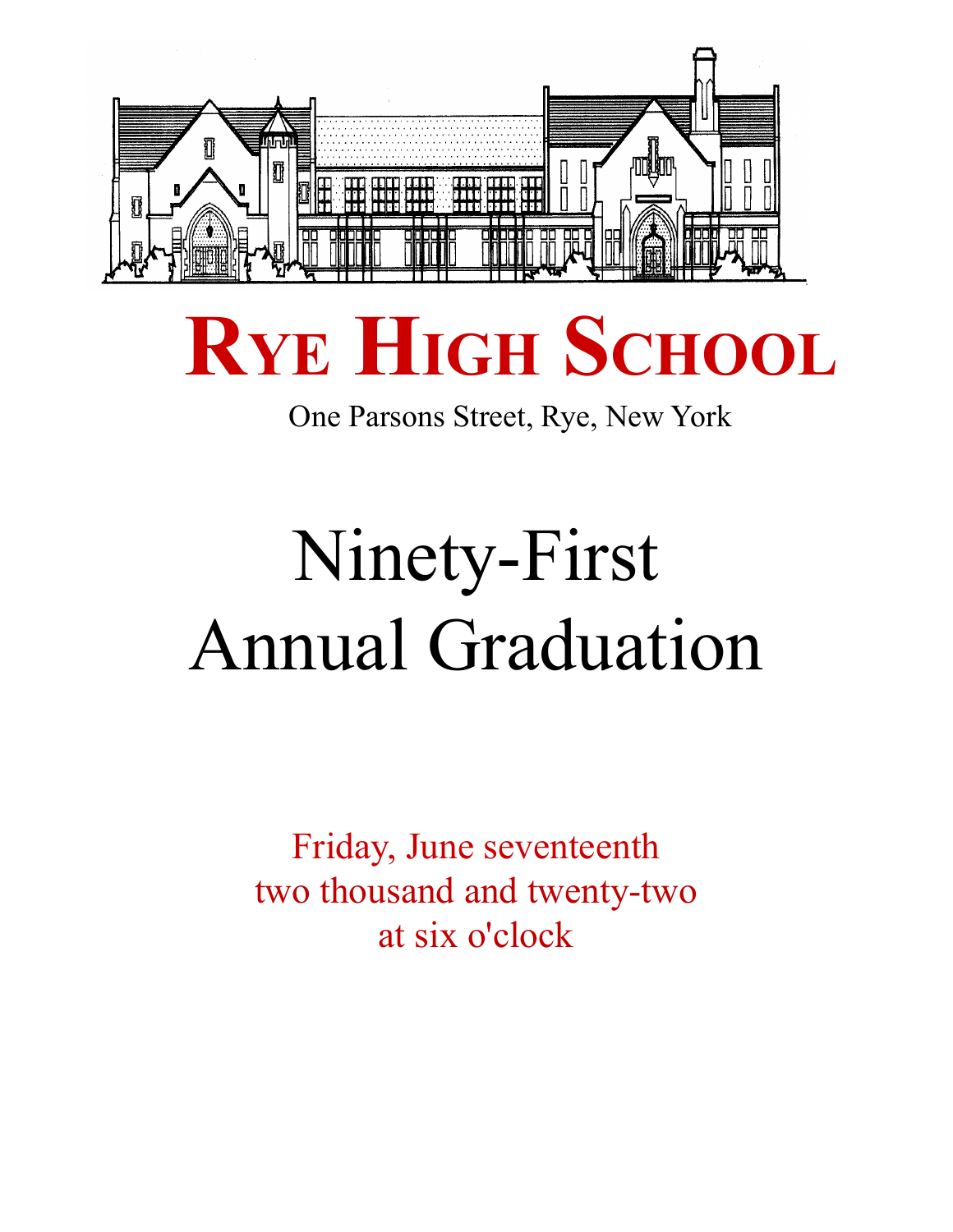

# **RYE HIGH SCHOOL**

One Parsons Street, Rye, New York

# Ninety-First Annual Graduation

Friday, June seventeenth two thousand and twenty-two at six o'clock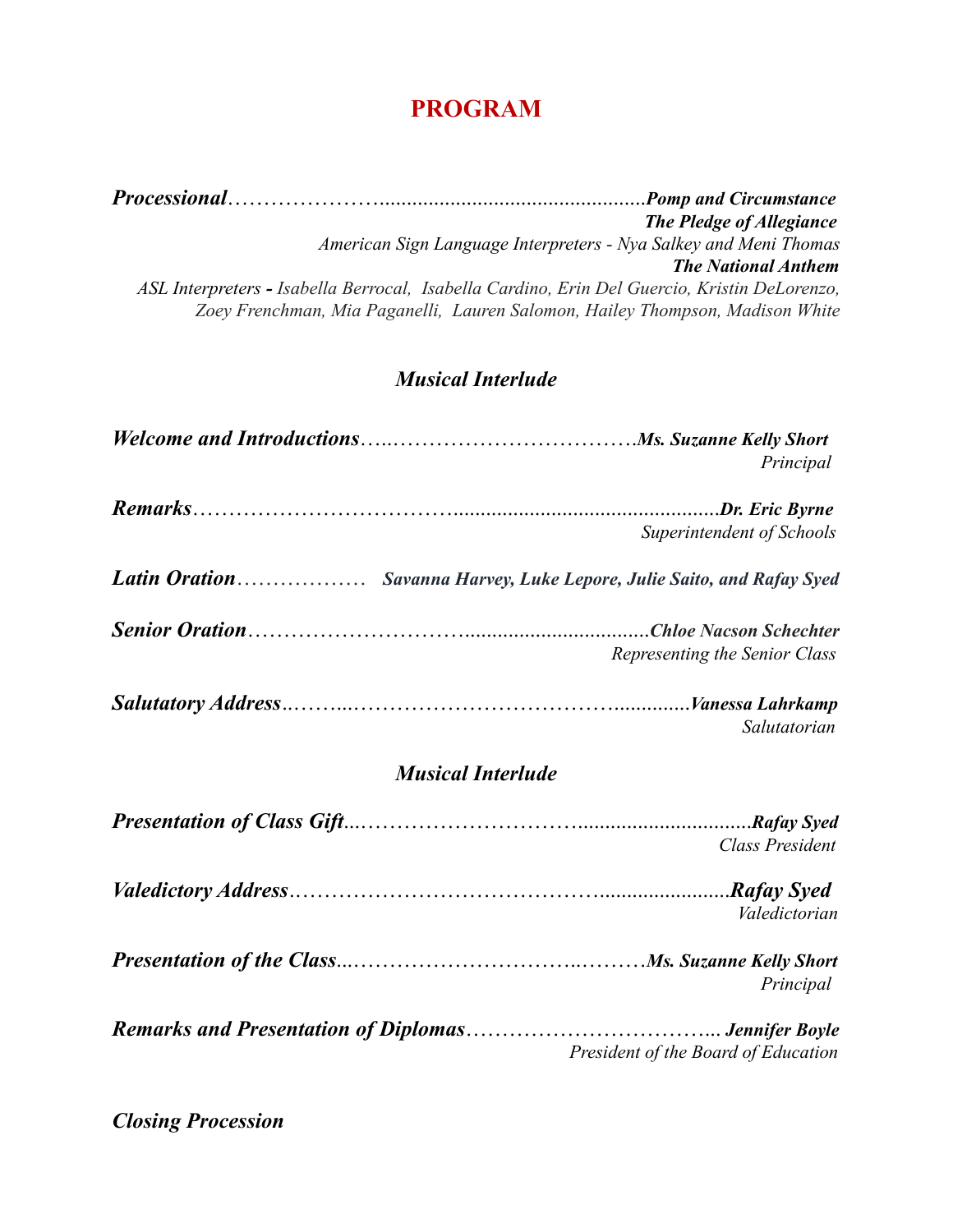# **PROGRAM**

*Processional*………………….................................................*Pomp and Circumstance The Pledge of Allegiance American Sign Language Interpreters - Nya Salkey and Meni Thomas The National Anthem ASL Interpreters - Isabella Berrocal, Isabella Cardino, Erin Del Guercio, Kristin DeLorenzo, Zoey Frenchman, Mia Paganelli, Lauren Salomon, Hailey Thompson, Madison White*

#### *Musical Interlude*

|                                                                        | Principal                     |
|------------------------------------------------------------------------|-------------------------------|
|                                                                        |                               |
|                                                                        | Superintendent of Schools     |
| Latin Oration Savanna Harvey, Luke Lepore, Julie Saito, and Rafay Syed |                               |
|                                                                        | Representing the Senior Class |
|                                                                        | Salutatorian                  |

#### *Musical Interlude*

| Class President                     |
|-------------------------------------|
| Valedictorian                       |
| Principal                           |
| President of the Board of Education |

*Closing Procession*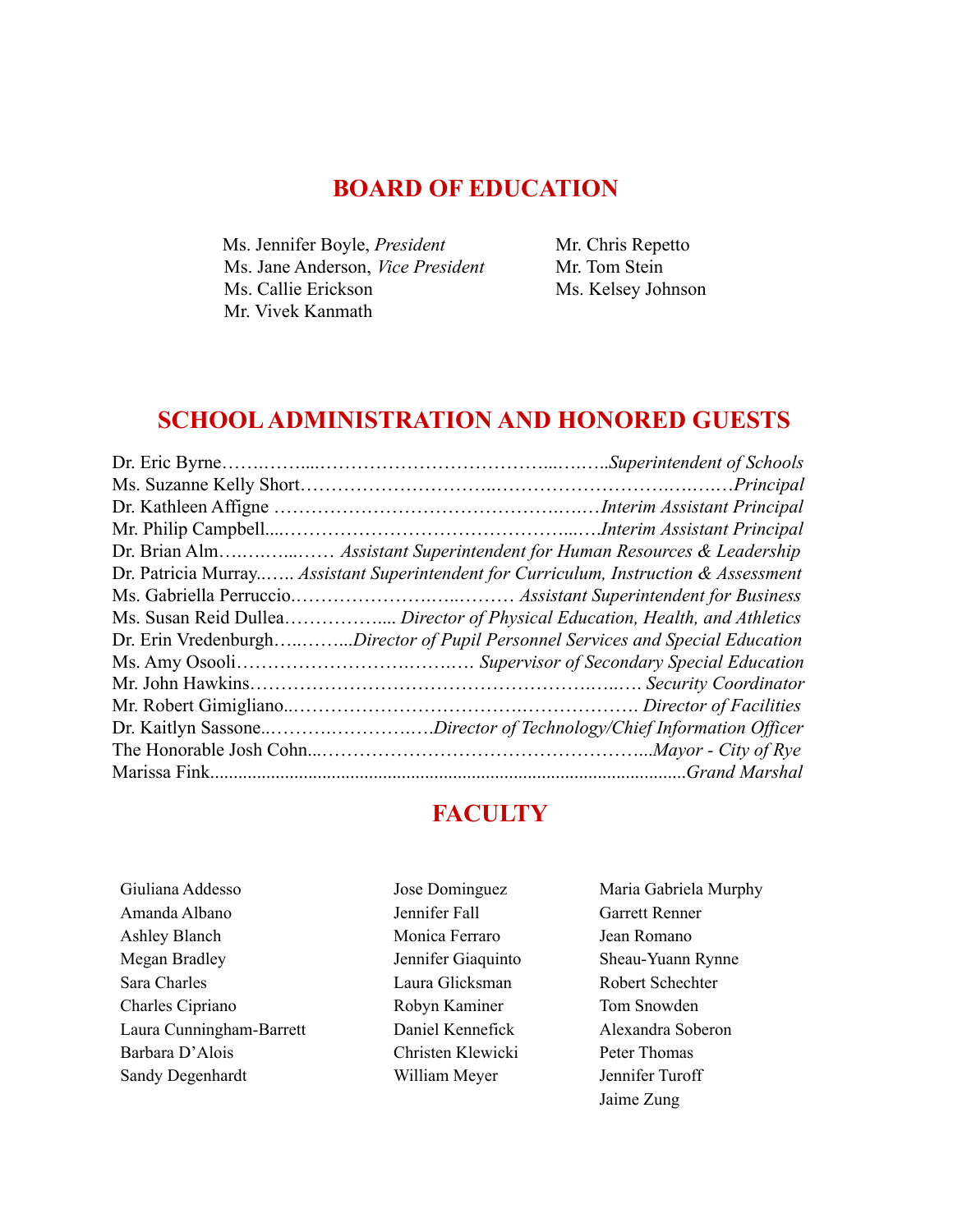#### **BOARD OF EDUCATION**

Ms. Jennifer Boyle, *President* Ms. Jane Anderson, *Vice President* Ms. Callie Erickson Mr. Vivek Kanmath

Mr. Chris Repetto Mr. Tom Stein Ms. Kelsey Johnson

### **SCHOOLADMINISTRATION AND HONORED GUESTS**

| Dr. Patricia Murray Assistant Superintendent for Curriculum, Instruction & Assessment |
|---------------------------------------------------------------------------------------|
|                                                                                       |
| Ms. Susan Reid Dullea Director of Physical Education, Health, and Athletics           |
| Dr. Erin VredenburghDirector of Pupil Personnel Services and Special Education        |
|                                                                                       |
|                                                                                       |
|                                                                                       |
| Dr. Kaitlyn SassoneDirector of Technology/Chief Information Officer                   |
|                                                                                       |
| Grand Marshal                                                                         |

## **FACULTY**

- Giuliana Addesso Amanda Albano Ashley Blanch Megan Bradley Sara Charles Charles Cipriano Laura Cunningham-Barrett Barbara D'Alois Sandy Degenhardt
- Jennifer Fall Monica Ferraro Jennifer Giaquinto Laura Glicksman Robyn Kaminer Daniel Kennefick Christen Klewicki William Meyer

Jose Dominguez

Maria Gabriela Murphy Garrett Renner Jean Romano Sheau-Yuann Rynne Robert Schechter Tom Snowden Alexandra Soberon Peter Thomas Jennifer Turoff Jaime Zung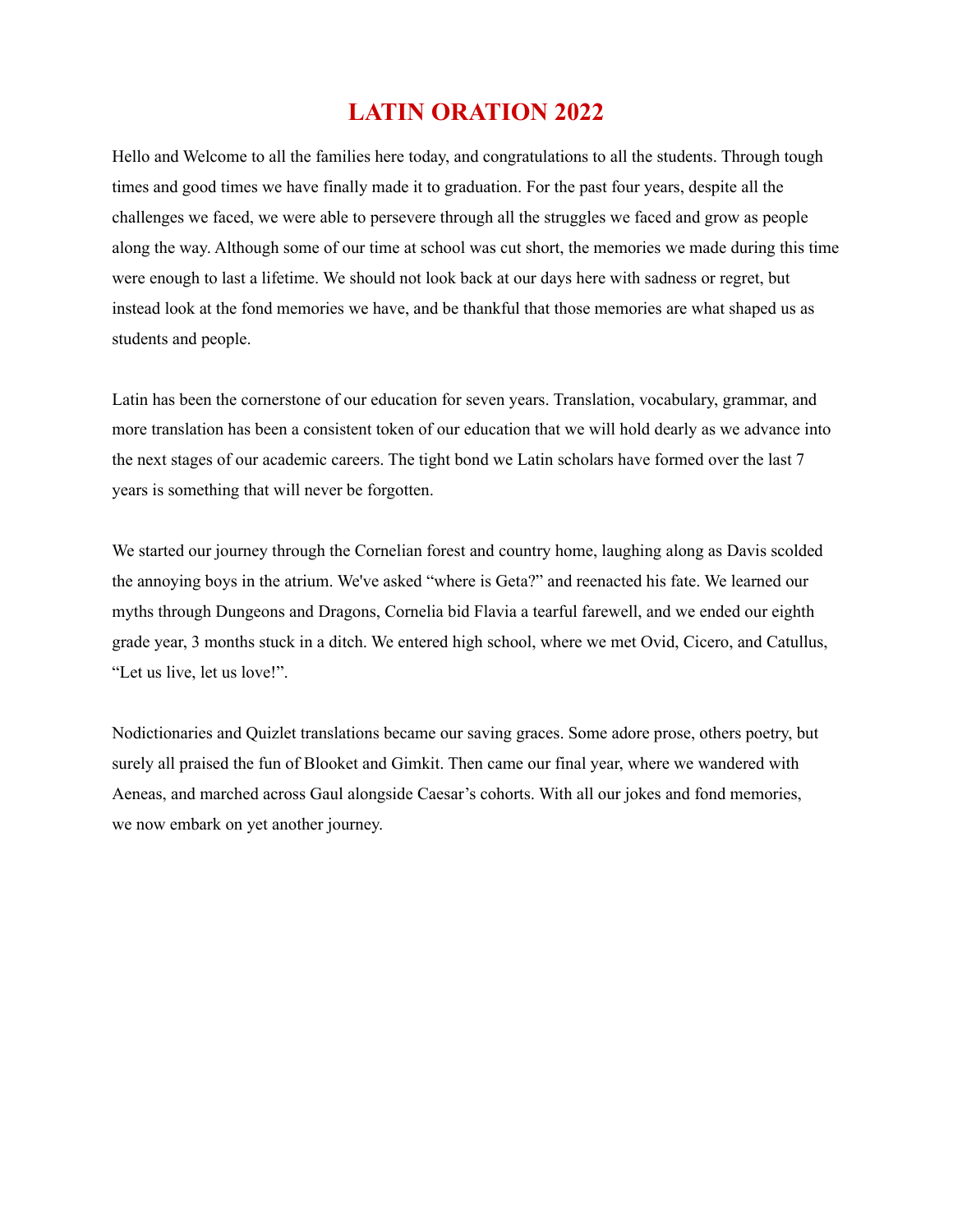## **LATIN ORATION 2022**

Hello and Welcome to all the families here today, and congratulations to all the students. Through tough times and good times we have finally made it to graduation. For the past four years, despite all the challenges we faced, we were able to persevere through all the struggles we faced and grow as people along the way. Although some of our time at school was cut short, the memories we made during this time were enough to last a lifetime. We should not look back at our days here with sadness or regret, but instead look at the fond memories we have, and be thankful that those memories are what shaped us as students and people.

Latin has been the cornerstone of our education for seven years. Translation, vocabulary, grammar, and more translation has been a consistent token of our education that we will hold dearly as we advance into the next stages of our academic careers. The tight bond we Latin scholars have formed over the last 7 years is something that will never be forgotten.

We started our journey through the Cornelian forest and country home, laughing along as Davis scolded the annoying boys in the atrium. We've asked "where is Geta?" and reenacted his fate. We learned our myths through Dungeons and Dragons, Cornelia bid Flavia a tearful farewell, and we ended our eighth grade year, 3 months stuck in a ditch. We entered high school, where we met Ovid, Cicero, and Catullus, "Let us live, let us love!".

Nodictionaries and Quizlet translations became our saving graces. Some adore prose, others poetry, but surely all praised the fun of Blooket and Gimkit. Then came our final year, where we wandered with Aeneas, and marched across Gaul alongside Caesar's cohorts. With all our jokes and fond memories, we now embark on yet another journey.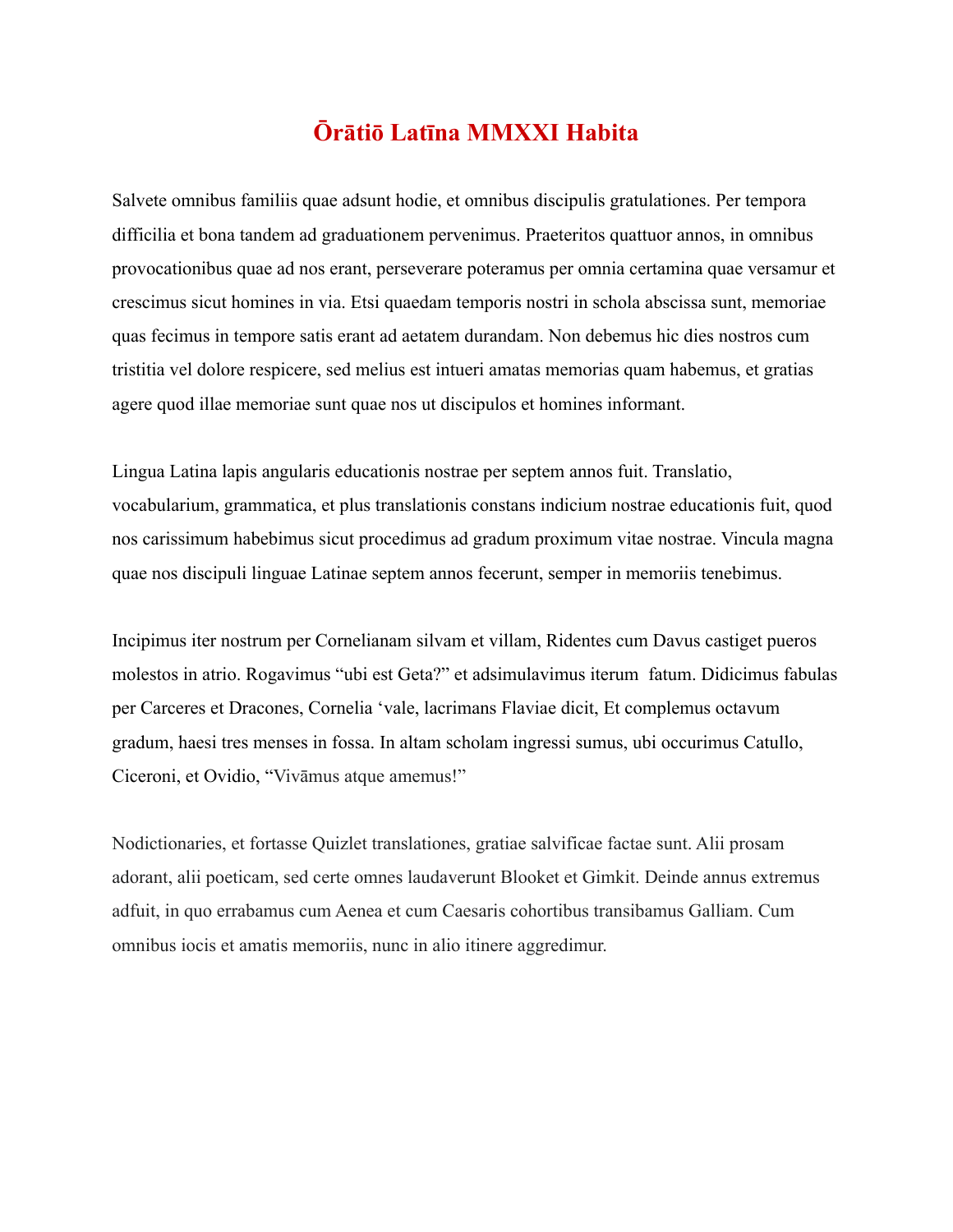## **Ōrātiō Latīna MMXXI Habita**

Salvete omnibus familiis quae adsunt hodie, et omnibus discipulis gratulationes. Per tempora difficilia et bona tandem ad graduationem pervenimus. Praeteritos quattuor annos, in omnibus provocationibus quae ad nos erant, perseverare poteramus per omnia certamina quae versamur et crescimus sicut homines in via. Etsi quaedam temporis nostri in schola abscissa sunt, memoriae quas fecimus in tempore satis erant ad aetatem durandam. Non debemus hic dies nostros cum tristitia vel dolore respicere, sed melius est intueri amatas memorias quam habemus, et gratias agere quod illae memoriae sunt quae nos ut discipulos et homines informant.

Lingua Latina lapis angularis educationis nostrae per septem annos fuit. Translatio, vocabularium, grammatica, et plus translationis constans indicium nostrae educationis fuit, quod nos carissimum habebimus sicut procedimus ad gradum proximum vitae nostrae. Vincula magna quae nos discipuli linguae Latinae septem annos fecerunt, semper in memoriis tenebimus.

Incipimus iter nostrum per Cornelianam silvam et villam, Ridentes cum Davus castiget pueros molestos in atrio. Rogavimus "ubi est Geta?" et adsimulavimus iterum fatum. Didicimus fabulas per Carceres et Dracones, Cornelia 'vale, lacrimans Flaviae dicit, Et complemus octavum gradum, haesi tres menses in fossa. In altam scholam ingressi sumus, ubi occurimus Catullo, Ciceroni, et Ovidio, "Vivāmus atque amemus!"

Nodictionaries, et fortasse Quizlet translationes, gratiae salvificae factae sunt. Alii prosam adorant, alii poeticam, sed certe omnes laudaverunt Blooket et Gimkit. Deinde annus extremus adfuit, in quo errabamus cum Aenea et cum Caesaris cohortibus transibamus Galliam. Cum omnibus iocis et amatis memoriis, nunc in alio itinere aggredimur.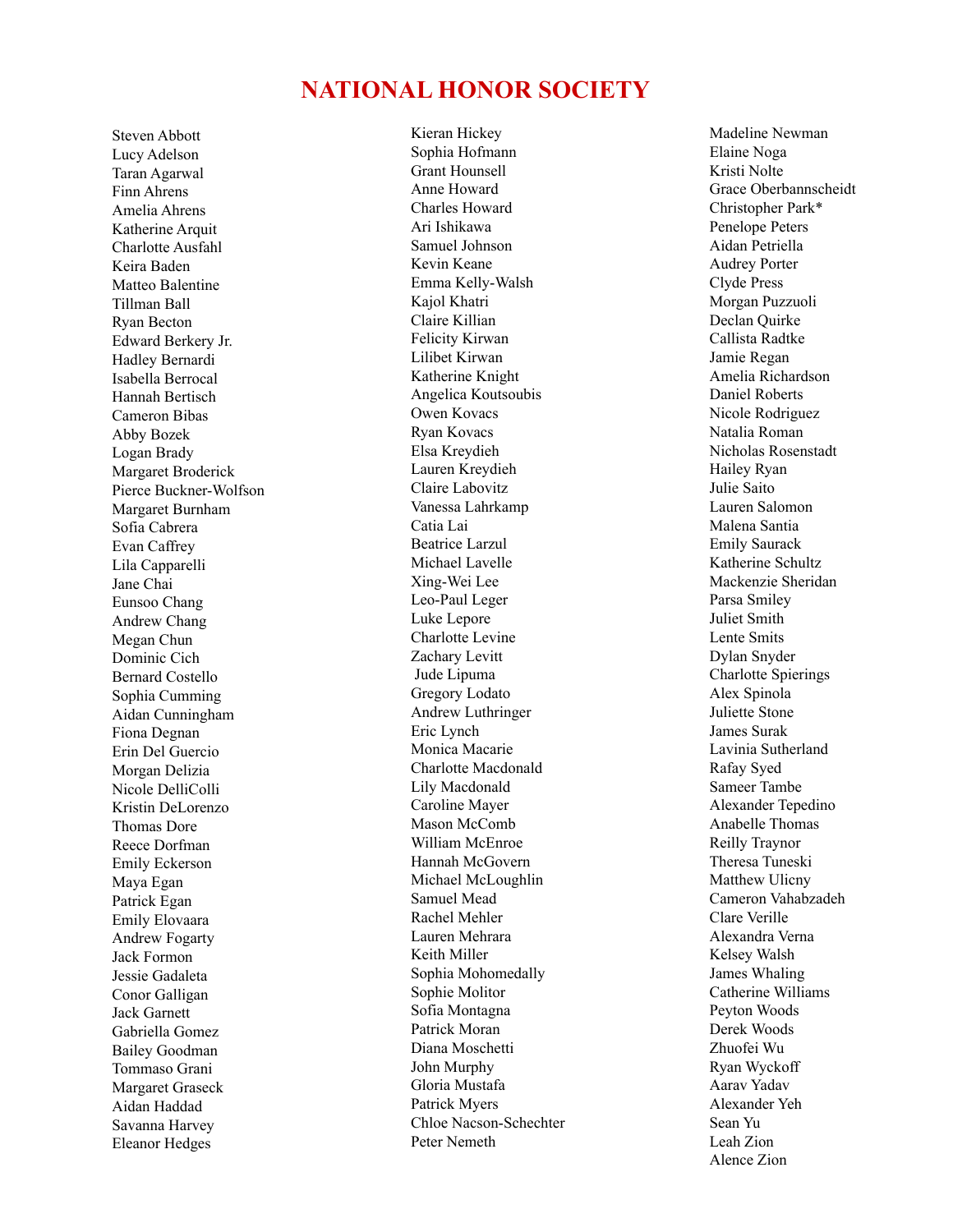#### **NATIONAL HONOR SOCIETY**

Steven Abbott Lucy Adelson Taran Agarwal Finn Ahrens Amelia Ahrens Katherine Arquit Charlotte Ausfahl Keira Baden Matteo Balentine Tillman Ball Ryan Becton Edward Berkery Jr. Hadley Bernardi Isabella Berrocal Hannah Bertisch Cameron Bibas Abby Bozek Logan Brady Margaret Broderick Pierce Buckner-Wolfson Margaret Burnham Sofia Cabrera Evan Caffrey Lila Capparelli Jane Chai Eunsoo Chang Andrew Chang Megan Chun Dominic Cich Bernard Costello Sophia Cumming Aidan Cunningham Fiona Degnan Erin Del Guercio Morgan Delizia Nicole DelliColli Kristin DeLorenzo Thomas Dore Reece Dorfman Emily Eckerson Maya Egan Patrick Egan Emily Elovaara Andrew Fogarty Jack Formon Jessie Gadaleta Conor Galligan Jack Garnett Gabriella Gomez Bailey Goodman Tommaso Grani Margaret Graseck Aidan Haddad Savanna Harvey Eleanor Hedges

Kieran Hickey Sophia Hofmann Grant Hounsell Anne Howard Charles Howard Ari Ishikawa Samuel Johnson Kevin Keane Emma Kelly-Walsh Kajol Khatri Claire Killian Felicity Kirwan Lilibet Kirwan Katherine Knight Angelica Koutsoubis Owen Kovacs Ryan Kovacs Elsa Kreydieh Lauren Kreydieh Claire Labovitz Vanessa Lahrkamp Catia Lai Beatrice Larzul Michael Lavelle Xing-Wei Lee Leo-Paul Leger Luke Lepore Charlotte Levine Zachary Levitt Jude Lipuma Gregory Lodato Andrew Luthringer Eric Lynch Monica Macarie Charlotte Macdonald Lily Macdonald Caroline Mayer Mason McComb William McEnroe Hannah McGovern Michael McLoughlin Samuel Mead Rachel Mehler Lauren Mehrara Keith Miller Sophia Mohomedally Sophie Molitor Sofia Montagna Patrick Moran Diana Moschetti John Murphy Gloria Mustafa Patrick Myers Chloe Nacson-Schechter Peter Nemeth

Madeline Newman Elaine Noga Kristi Nolte Grace Oberbannscheidt Christopher Park\* Penelope Peters Aidan Petriella Audrey Porter Clyde Press Morgan Puzzuoli Declan Quirke Callista Radtke Jamie Regan Amelia Richardson Daniel Roberts Nicole Rodriguez Natalia Roman Nicholas Rosenstadt Hailey Ryan Julie Saito Lauren Salomon Malena Santia Emily Saurack Katherine Schultz Mackenzie Sheridan Parsa Smiley Juliet Smith Lente Smits Dylan Snyder Charlotte Spierings Alex Spinola Juliette Stone James Surak Lavinia Sutherland Rafay Syed Sameer Tambe Alexander Tepedino Anabelle Thomas Reilly Traynor Theresa Tuneski Matthew Ulicny Cameron Vahabzadeh Clare Verille Alexandra Verna Kelsey Walsh James Whaling Catherine Williams Peyton Woods Derek Woods Zhuofei Wu Ryan Wyckoff Aarav Yadav Alexander Yeh Sean Yu Leah Zion Alence Zion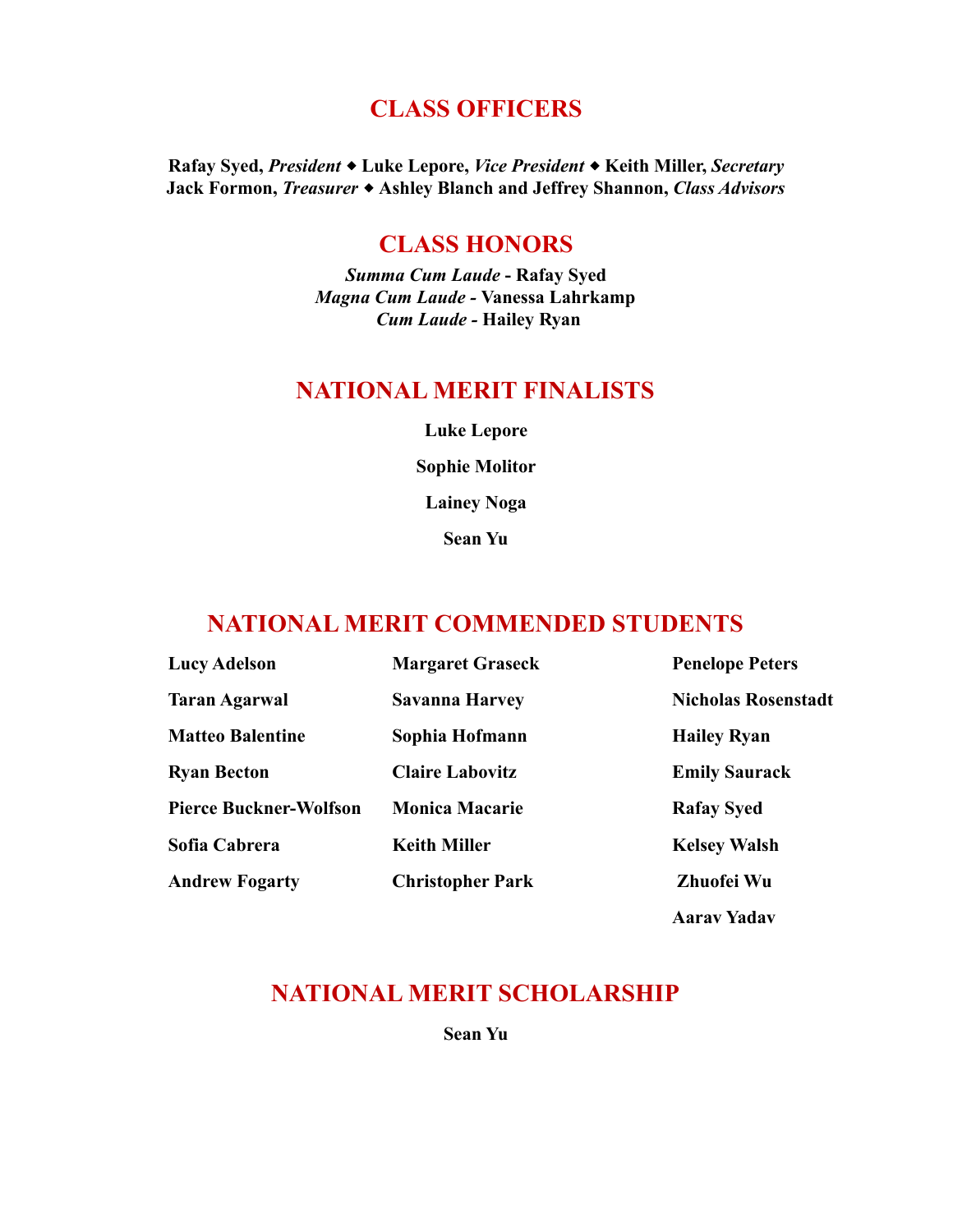## **CLASS OFFICERS**

**Rafay Syed,** *President* ⬥ **Luke Lepore,** *Vice President* ⬥ **Keith Miller,** *Secretary* **Jack Formon,** *Treasurer* ⬥ **Ashley Blanch and Jeffrey Shannon,** *Class Advisors*

## **CLASS HONORS**

*Summa Cum Laude* **- Rafay Syed** *Magna Cum Laude -* **Vanessa Lahrkamp** *Cum Laude -* **Hailey Ryan**

### **NATIONAL MERIT FINALISTS**

**Luke Lepore Sophie Molitor Lainey Noga Sean Yu**

### **NATIONAL MERIT COMMENDED STUDENTS**

| <b>Lucy Adelson</b>           | <b>Margaret Graseck</b> | <b>Penelope Peters</b>     |
|-------------------------------|-------------------------|----------------------------|
| <b>Taran Agarwal</b>          | <b>Savanna Harvey</b>   | <b>Nicholas Rosenstadt</b> |
| <b>Matteo Balentine</b>       | Sophia Hofmann          | <b>Hailey Ryan</b>         |
| <b>Ryan Becton</b>            | <b>Claire Labovitz</b>  | <b>Emily Saurack</b>       |
| <b>Pierce Buckner-Wolfson</b> | <b>Monica Macarie</b>   | <b>Rafay Syed</b>          |
| Sofia Cabrera                 | <b>Keith Miller</b>     | <b>Kelsey Walsh</b>        |
| <b>Andrew Fogarty</b>         | <b>Christopher Park</b> | Zhuofei Wu                 |

**Aarav Yadav**

## **NATIONAL MERIT SCHOLARSHIP**

**Sean Yu**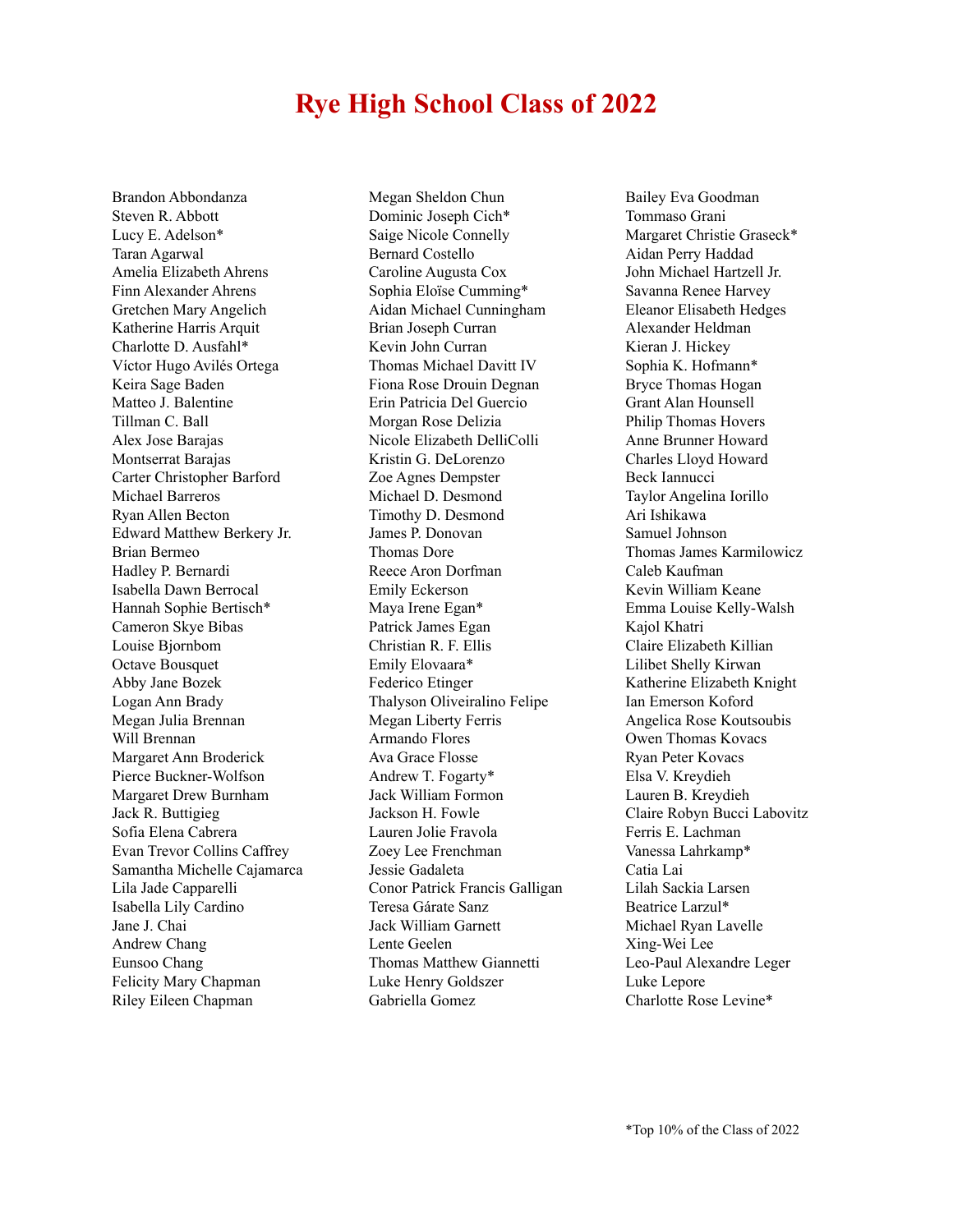# **Rye High School Class of 2022**

Brandon Abbondanza Steven R. Abbott Lucy E. Adelson\* Taran Agarwal Amelia Elizabeth Ahrens Finn Alexander Ahrens Gretchen Mary Angelich Katherine Harris Arquit Charlotte D. Ausfahl\* Víctor Hugo Avilés Ortega Keira Sage Baden Matteo J. Balentine Tillman C. Ball Alex Jose Barajas Montserrat Barajas Carter Christopher Barford Michael Barreros Ryan Allen Becton Edward Matthew Berkery Jr. Brian Bermeo Hadley P. Bernardi Isabella Dawn Berrocal Hannah Sophie Bertisch\* Cameron Skye Bibas Louise Bjornbom Octave Bousquet Abby Jane Bozek Logan Ann Brady Megan Julia Brennan Will Brennan Margaret Ann Broderick Pierce Buckner-Wolfson Margaret Drew Burnham Jack R. Buttigieg Sofia Elena Cabrera Evan Trevor Collins Caffrey Samantha Michelle Cajamarca Lila Jade Capparelli Isabella Lily Cardino Jane J. Chai Andrew Chang Eunsoo Chang Felicity Mary Chapman Riley Eileen Chapman

Megan Sheldon Chun Dominic Joseph Cich\* Saige Nicole Connelly Bernard Costello Caroline Augusta Cox Sophia Eloïse Cumming\* Aidan Michael Cunningham Brian Joseph Curran Kevin John Curran Thomas Michael Davitt IV Fiona Rose Drouin Degnan Erin Patricia Del Guercio Morgan Rose Delizia Nicole Elizabeth DelliColli Kristin G. DeLorenzo Zoe Agnes Dempster Michael D. Desmond Timothy D. Desmond James P. Donovan Thomas Dore Reece Aron Dorfman Emily Eckerson Maya Irene Egan\* Patrick James Egan Christian R. F. Ellis Emily Elovaara\* Federico Etinger Thalyson Oliveiralino Felipe Megan Liberty Ferris Armando Flores Ava Grace Flosse Andrew T. Fogarty\* Jack William Formon Jackson H. Fowle Lauren Jolie Fravola Zoey Lee Frenchman Jessie Gadaleta Conor Patrick Francis Galligan Teresa Gárate Sanz Jack William Garnett Lente Geelen Thomas Matthew Giannetti Luke Henry Goldszer Gabriella Gomez

Bailey Eva Goodman Tommaso Grani Margaret Christie Graseck\* Aidan Perry Haddad John Michael Hartzell Jr. Savanna Renee Harvey Eleanor Elisabeth Hedges Alexander Heldman Kieran J. Hickey Sophia K. Hofmann\* Bryce Thomas Hogan Grant Alan Hounsell Philip Thomas Hovers Anne Brunner Howard Charles Lloyd Howard Beck Iannucci Taylor Angelina Iorillo Ari Ishikawa Samuel Johnson Thomas James Karmilowicz Caleb Kaufman Kevin William Keane Emma Louise Kelly-Walsh Kajol Khatri Claire Elizabeth Killian Lilibet Shelly Kirwan Katherine Elizabeth Knight Ian Emerson Koford Angelica Rose Koutsoubis Owen Thomas Kovacs Ryan Peter Kovacs Elsa V. Kreydieh Lauren B. Kreydieh Claire Robyn Bucci Labovitz Ferris E. Lachman Vanessa Lahrkamp\* Catia Lai Lilah Sackia Larsen Beatrice Larzul\* Michael Ryan Lavelle Xing-Wei Lee Leo-Paul Alexandre Leger Luke Lepore Charlotte Rose Levine\*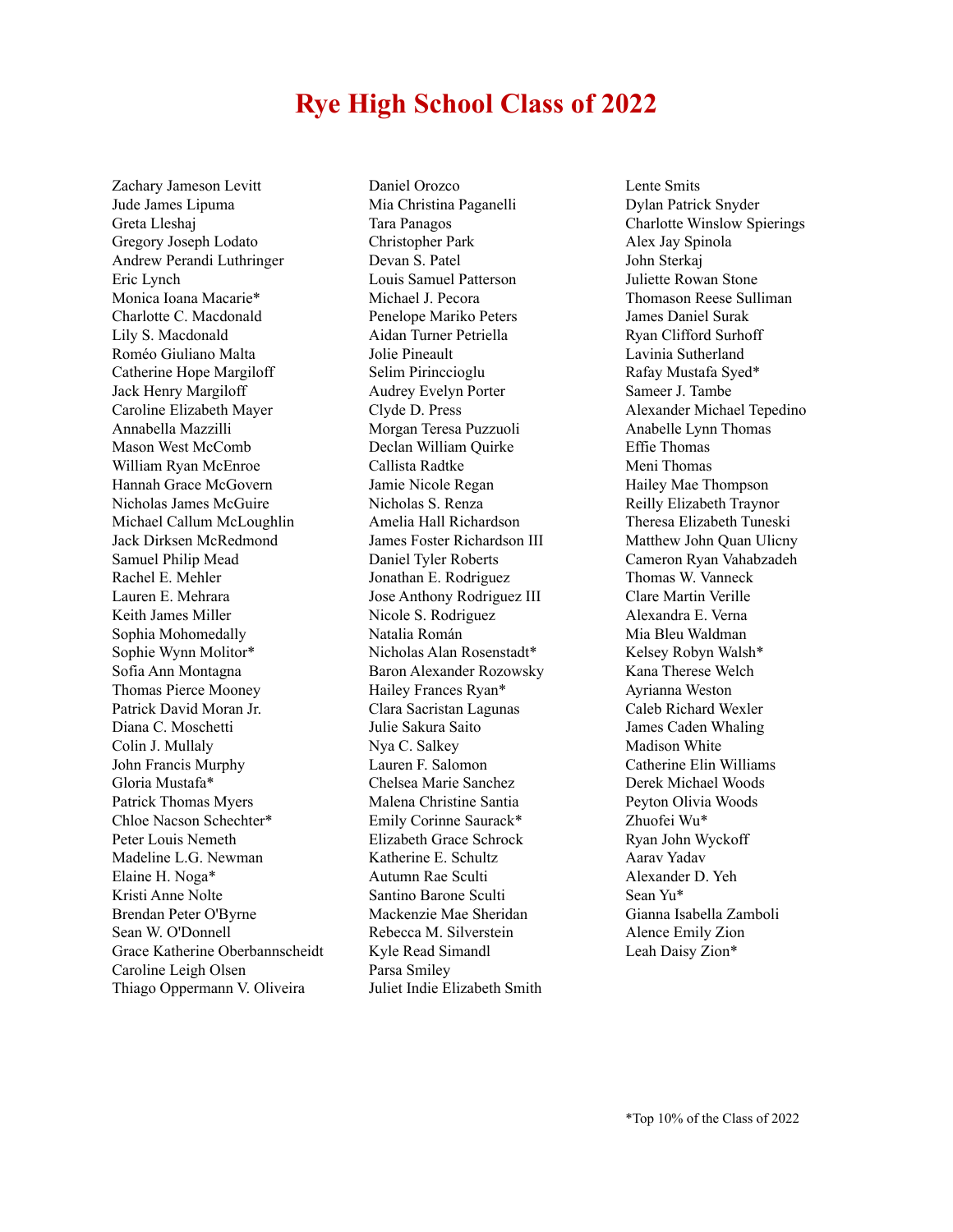# **Rye High School Class of 2022**

Zachary Jameson Levitt Jude James Lipuma Greta Lleshaj Gregory Joseph Lodato Andrew Perandi Luthringer Eric Lynch Monica Ioana Macarie\* Charlotte C. Macdonald Lily S. Macdonald Roméo Giuliano Malta Catherine Hope Margiloff Jack Henry Margiloff Caroline Elizabeth Mayer Annabella Mazzilli Mason West McComb William Ryan McEnroe Hannah Grace McGovern Nicholas James McGuire Michael Callum McLoughlin Jack Dirksen McRedmond Samuel Philip Mead Rachel E. Mehler Lauren E. Mehrara Keith James Miller Sophia Mohomedally Sophie Wynn Molitor\* Sofia Ann Montagna Thomas Pierce Mooney Patrick David Moran Jr. Diana C. Moschetti Colin J. Mullaly John Francis Murphy Gloria Mustafa\* Patrick Thomas Myers Chloe Nacson Schechter\* Peter Louis Nemeth Madeline L.G. Newman Elaine H. Noga\* Kristi Anne Nolte Brendan Peter O'Byrne Sean W. O'Donnell Grace Katherine Oberbannscheidt Caroline Leigh Olsen Thiago Oppermann V. Oliveira

Daniel Orozco Mia Christina Paganelli Tara Panagos Christopher Park Devan S. Patel Louis Samuel Patterson Michael J. Pecora Penelope Mariko Peters Aidan Turner Petriella Jolie Pineault Selim Pirinccioglu Audrey Evelyn Porter Clyde D. Press Morgan Teresa Puzzuoli Declan William Quirke Callista Radtke Jamie Nicole Regan Nicholas S. Renza Amelia Hall Richardson James Foster Richardson III Daniel Tyler Roberts Jonathan E. Rodriguez Jose Anthony Rodriguez III Nicole S. Rodriguez Natalia Román Nicholas Alan Rosenstadt\* Baron Alexander Rozowsky Hailey Frances Ryan\* Clara Sacristan Lagunas Julie Sakura Saito Nya C. Salkey Lauren F. Salomon Chelsea Marie Sanchez Malena Christine Santia Emily Corinne Saurack\* Elizabeth Grace Schrock Katherine E. Schultz Autumn Rae Sculti Santino Barone Sculti Mackenzie Mae Sheridan Rebecca M. Silverstein Kyle Read Simandl Parsa Smiley Juliet Indie Elizabeth Smith

Lente Smits Dylan Patrick Snyder Charlotte Winslow Spierings Alex Jay Spinola John Sterkaj Juliette Rowan Stone Thomason Reese Sulliman James Daniel Surak Ryan Clifford Surhoff Lavinia Sutherland Rafay Mustafa Syed\* Sameer J. Tambe Alexander Michael Tepedino Anabelle Lynn Thomas Effie Thomas Meni Thomas Hailey Mae Thompson Reilly Elizabeth Traynor Theresa Elizabeth Tuneski Matthew John Quan Ulicny Cameron Ryan Vahabzadeh Thomas W. Vanneck Clare Martin Verille Alexandra E. Verna Mia Bleu Waldman Kelsey Robyn Walsh\* Kana Therese Welch Ayrianna Weston Caleb Richard Wexler James Caden Whaling Madison White Catherine Elin Williams Derek Michael Woods Peyton Olivia Woods Zhuofei Wu\* Ryan John Wyckoff Aarav Yadav Alexander D. Yeh Sean Yu\* Gianna Isabella Zamboli Alence Emily Zion Leah Daisy Zion\*